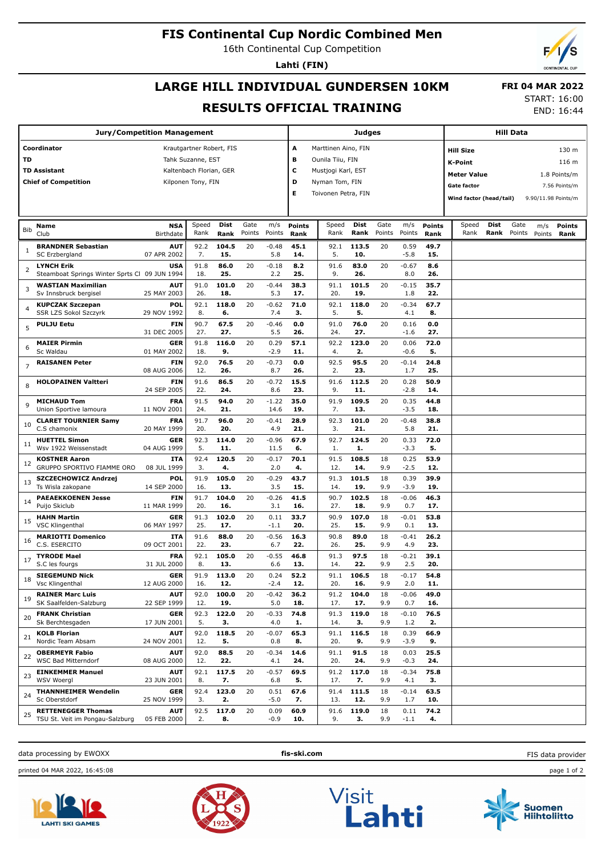## **FIS Continental Cup Nordic Combined Men**

16th Continental Cup Competition

**Lahti (FIN)**

# **LARGE HILL INDIVIDUAL GUNDERSEN 10KM RESULTS OFFICIAL TRAINING**

 **FRI 04 MAR 2022** START: 16:00

END: 16:44

| <b>Jury/Competition Management</b> |                                                    |                           |                          |              |        |                    |                          |                     |              |           | Hill Data      |               |                                    |      |        |        |                     |
|------------------------------------|----------------------------------------------------|---------------------------|--------------------------|--------------|--------|--------------------|--------------------------|---------------------|--------------|-----------|----------------|---------------|------------------------------------|------|--------|--------|---------------------|
|                                    | Coordinator                                        |                           | Krautgartner Robert, FIS |              |        |                    | Marttinen Aino, FIN<br>A |                     |              |           |                |               | 130 m<br><b>Hill Size</b>          |      |        |        |                     |
| TD                                 |                                                    |                           | Tahk Suzanne, EST        |              |        |                    | в                        | Ounila Tiiu, FIN    |              |           |                |               | K-Point                            |      |        |        | 116 m               |
| TD Assistant                       |                                                    | Kaltenbach Florian, GER   |                          |              | c      | Mustjogi Karl, EST |                          |                     |              |           |                |               |                                    |      |        |        |                     |
|                                    | <b>Chief of Competition</b>                        |                           | Kilponen Tony, FIN       |              |        |                    | D                        | Nyman Tom, FIN      |              |           |                |               | <b>Meter Value</b><br>1.8 Points/m |      |        |        |                     |
|                                    |                                                    |                           |                          |              |        |                    | Е                        | Toivonen Petra, FIN |              |           |                |               | <b>Gate factor</b>                 |      |        |        | 7.56 Points/m       |
|                                    |                                                    |                           |                          |              |        |                    |                          |                     |              |           |                |               | Wind factor (head/tail)            |      |        |        | 9.90/11.98 Points/m |
|                                    |                                                    |                           |                          |              |        |                    |                          |                     |              |           |                |               |                                    |      |        |        |                     |
|                                    | Name                                               | <b>NSA</b>                | Speed                    | Dist         | Gate   | m/s                | <b>Points</b>            | Speed               | Dist         | Gate      | m/s            | <b>Points</b> | Speed                              | Dist | Gate   | m/s    | <b>Points</b>       |
| Bib                                | Club                                               | Birthdate                 | Rank                     | Rank         | Points | Points             | Rank                     | Rank                | Rank         | Points    | Points         | Rank          | Rank                               | Rank | Points | Points | Rank                |
|                                    | <b>BRANDNER Sebastian</b>                          | <b>AUT</b>                | 92.2                     | 104.5        | 20     | -0.48              | 45.1                     | 92.1                | 113.5        | 20        | 0.59           | 49.7          |                                    |      |        |        |                     |
|                                    | SC Erzbergland                                     | 07 APR 2002               | 7.                       | 15.          |        | 5.8                | 14.                      | 5.                  | 10.          |           | -5.8           | 15.           |                                    |      |        |        |                     |
| 2                                  | <b>LYNCH Erik</b>                                  | USA                       | 91.8                     | 86.0         | 20     | -0.18              | 8.2                      | 91.6                | 83.0         | 20        | -0.67          | 8.6           |                                    |      |        |        |                     |
|                                    | Steamboat Springs Winter Sprts Cl 09 JUN 1994      |                           | 18.                      | 25.          |        | 2.2                | 25.                      | 9.                  | 26.          |           | 8.0            | 26.           |                                    |      |        |        |                     |
| 3                                  | <b>WASTIAN Maximilian</b><br>Sv Innsbruck bergisel | <b>AUT</b><br>25 MAY 2003 | 91.0<br>26.              | 101.0<br>18. | 20     | $-0.44$<br>5.3     | 38.3<br>17.              | 91.1<br>20.         | 101.5<br>19. | 20        | $-0.15$<br>1.8 | 35.7<br>22.   |                                    |      |        |        |                     |
|                                    | <b>KUPCZAK Szczepan</b>                            | POL                       | 92.1                     | 118.0        | 20     | -0.62              | 71.0                     | 92.1                | 118.0        | 20        | -0.34          | 67.7          |                                    |      |        |        |                     |
| 4                                  | SSR LZS Sokol Szczyrk                              | 29 NOV 1992               | 8.                       | 6.           |        | 7.4                | з.                       | 5.                  | 5.           |           | 4.1            | 8.            |                                    |      |        |        |                     |
| 5                                  | <b>PULJU Eetu</b>                                  | <b>FIN</b>                | 90.7                     | 67.5         | 20     | -0.46              | 0.0                      | 91.0                | 76.0         | 20        | 0.16           | 0.0           |                                    |      |        |        |                     |
|                                    |                                                    | 31 DEC 2005               | 27.                      | 27.          |        | 5.5                | 26.                      | 24.                 | 27.          |           | $-1.6$         | 27.           |                                    |      |        |        |                     |
| 6                                  | <b>MAIER Pirmin</b><br>Sc Waldau                   | <b>GER</b><br>01 MAY 2002 | 91.8<br>18.              | 116.0<br>9.  | 20     | 0.29<br>-2.9       | 57.1<br>11.              | 92.2<br>4.          | 123.0<br>2.  | 20        | 0.06<br>-0.6   | 72.0<br>5.    |                                    |      |        |        |                     |
|                                    | <b>RAISANEN Peter</b>                              | <b>FIN</b>                | 92.0                     | 76.5         | 20     | $-0.73$            | 0.0                      | 92.5                | 95.5         | 20        | $-0.14$        | 24.8          |                                    |      |        |        |                     |
| 7                                  |                                                    | 08 AUG 2006               | 12.                      | 26.          |        | 8.7                | 26.                      | 2.                  | 23.          |           | 1.7            | 25.           |                                    |      |        |        |                     |
| 8                                  | <b>HOLOPAINEN Valtteri</b>                         | <b>FIN</b>                | 91.6                     | 86.5         | 20     | -0.72              | 15.5                     | 91.6                | 112.5        | 20        | 0.28           | 50.9          |                                    |      |        |        |                     |
|                                    |                                                    | 24 SEP 2005               | 22.                      | 24.          |        | 8.6                | 23.                      | 9.                  | 11.          |           | $-2.8$         | 14.           |                                    |      |        |        |                     |
| 9                                  | <b>MICHAUD Tom</b><br>Union Sportive lamoura       | <b>FRA</b><br>11 NOV 2001 | 91.5<br>24.              | 94.0<br>21.  | 20     | $-1.22$<br>14.6    | 35.0<br>19.              | 91.9<br>7.          | 109.5<br>13. | 20        | 0.35<br>$-3.5$ | 44.8<br>18.   |                                    |      |        |        |                     |
|                                    | <b>CLARET TOURNIER Samy</b>                        | FRA                       | 91.7                     | 96.0         | 20     | -0.41              | 28.9                     | 92.3                | 101.0        | 20        | $-0.48$        | 38.8          |                                    |      |        |        |                     |
| 10                                 | C.S chamonix                                       | 20 MAY 1999               | 20.                      | 20.          |        | 4.9                | 21.                      | 3.                  | 21.          |           | 5.8            | 21.           |                                    |      |        |        |                     |
| 11                                 | <b>HUETTEL Simon</b>                               | <b>GER</b>                | 92.3                     | 114.0        | 20     | -0.96              | 67.9                     | 92.7                | 124.5        | 20        | 0.33           | 72.0          |                                    |      |        |        |                     |
|                                    | Wsv 1922 Weissenstadt                              | 04 AUG 1999               | 5.                       | 11.          |        | 11.5               | 6.                       | 1.                  | 1.           |           | $-3.3$         | 5.            |                                    |      |        |        |                     |
| 12                                 | <b>KOSTNER Aaron</b><br>GRUPPO SPORTIVO FIAMME ORO | <b>ITA</b><br>08 JUL 1999 | 92.4<br>3.               | 120.5<br>4.  | 20     | $-0.17$<br>2.0     | 70.1<br>4.               | 91.5<br>12.         | 108.5<br>14. | 18<br>9.9 | 0.25<br>$-2.5$ | 53.9<br>12.   |                                    |      |        |        |                     |
|                                    | SZCZECHOWICZ Andrzej                               | POL                       | 91.9                     | 105.0        | 20     | $-0.29$            | 43.7                     | 91.3                | 101.5        | 18        | 0.39           | 39.9          |                                    |      |        |        |                     |
| 13                                 | Ts Wisla zakopane                                  | 14 SEP 2000               | 16.                      | 13.          |        | 3.5                | 15.                      | 14.                 | 19.          | 9.9       | $-3.9$         | 19.           |                                    |      |        |        |                     |
| 14                                 | <b>PAEAEKKOENEN Jesse</b>                          | FIN                       | 91.7                     | 104.0        | 20     | -0.26              | 41.5                     | 90.7                | 102.5        | 18        | -0.06          | 46.3          |                                    |      |        |        |                     |
|                                    | Puijo Skiclub                                      | 11 MAR 1999               | 20.                      | 16.          |        | 3.1                | 16.                      | 27.                 | 18.          | 9.9       | 0.7            | 17.           |                                    |      |        |        |                     |
| 15                                 | <b>HAHN Martin</b><br><b>VSC Klingenthal</b>       | <b>GER</b><br>06 MAY 1997 | 91.3<br>25.              | 102.0<br>17. | 20     | 0.11<br>-1.1       | 33.7<br>20.              | 90.9<br>25.         | 107.0<br>15. | 18<br>9.9 | $-0.01$<br>0.1 | 53.8<br>13.   |                                    |      |        |        |                     |
|                                    | <b>MARIOTTI Domenico</b>                           | <b>ITA</b>                | 91.6                     | 88.0         | 20     | $-0.56$            | 16.3                     | 90.8                | 89.0         | 18        | $-0.41$        | 26.2          |                                    |      |        |        |                     |
| 16                                 | C.S. ESERCITO                                      | 09 OCT 2001               | 22.                      | 23.          |        | 6.7                | 22.                      | 26.                 | 25.          | 9.9       | 4.9            | 23.           |                                    |      |        |        |                     |
| 17                                 | <b>TYRODE Mael</b>                                 | <b>FRA</b>                | 92.1                     | 105.0        | 20     | -0.55              | 46.8                     | 91.3                | 97.5         | 18        | -0.21          | 39.1          |                                    |      |        |        |                     |
|                                    | S.C les fourgs                                     | 31 JUL 2000               | 8.                       | 13.          |        | 6.6                | 13.                      | 14.                 | 22.          | 9.9       | 2.5            | 20.           |                                    |      |        |        |                     |
| 18                                 | <b>SIEGEMUND Nick</b><br>Vsc Klingenthal           | <b>GER</b><br>12 AUG 2000 | 91.9<br>16.              | 113.0<br>12. | 20     | 0.24<br>-2.4       | 52.2<br>12.              | 91.1<br>20.         | 106.5<br>16. | 18<br>9.9 | $-0.17$<br>2.0 | 54.8<br>11.   |                                    |      |        |        |                     |
|                                    | <b>RAINER Marc Luis</b>                            | <b>AUT</b>                | 92.0                     | 100.0        | 20     | $-0.42$            | 36.2                     | 91.2                | 104.0        | 18        | $-0.06$        | 49.0          |                                    |      |        |        |                     |
| 19                                 | SK Saalfelden-Salzburg                             | 22 SEP 1999               | 12.                      | 19.          |        | 5.0                | 18.                      | 17.                 | 17.          | 9.9       | 0.7            | 16.           |                                    |      |        |        |                     |
| 20                                 | <b>FRANK Christian</b>                             | <b>GER</b>                | 92.3                     | 122.0        | 20     | $-0.33$            | 74.8                     | 91.3                | 119.0        | 18        | $-0.10$        | 76.5          |                                    |      |        |        |                     |
|                                    | Sk Berchtesgaden                                   | 17 JUN 2001               | 5.                       | з.           |        | 4.0                | 1.                       | 14.                 | з.           | 9.9       | 1.2            | 2.            |                                    |      |        |        |                     |
| 21                                 | <b>KOLB Florian</b><br>Nordic Team Absam           | <b>AUT</b><br>24 NOV 2001 | 92.0                     | 118.5        | 20     | $-0.07$            | 65.3                     | 91.1                | 116.5<br>9.  | 18<br>9.9 | 0.39<br>$-3.9$ | 66.9<br>9.    |                                    |      |        |        |                     |
|                                    | <b>OBERMEYR Fabio</b>                              | <b>AUT</b>                | 12.<br>92.0              | 5.<br>88.5   | 20     | 0.8<br>$-0.34$     | 8.<br>14.6               | 20.<br>91.1         | 91.5         | 18        | 0.03           | 25.5          |                                    |      |        |        |                     |
| 22                                 | <b>WSC Bad Mitterndorf</b>                         | 08 AUG 2000               | 12.                      | 22.          |        | 4.1                | 24.                      | 20.                 | 24.          | 9.9       | $-0.3$         | 24.           |                                    |      |        |        |                     |
| 23                                 | <b>EINKEMMER Manuel</b>                            | <b>AUT</b>                | 92.1                     | 117.5        | 20     | $-0.57$            | 69.5                     | 91.2                | 117.0        | 18        | $-0.34$        | 75.8          |                                    |      |        |        |                     |
|                                    | <b>WSV Woeral</b>                                  | 23 JUN 2001               | 8.                       | 7.           |        | 6.8                | 5.                       | 17.                 | 7.           | 9.9       | 4.1            | з.            |                                    |      |        |        |                     |
| 24                                 | <b>THANNHEIMER Wendelin</b><br>Sc Oberstdorf       | <b>GER</b><br>25 NOV 1999 | 92.4<br>3.               | 123.0<br>2.  | 20     | 0.51<br>$-5.0$     | 67.6<br>7.               | 91.4<br>13.         | 111.5<br>12. | 18<br>9.9 | $-0.14$<br>1.7 | 63.5<br>10.   |                                    |      |        |        |                     |
|                                    | <b>RETTENEGGER Thomas</b>                          | <b>AUT</b>                | 92.5                     | 117.0        | 20     | 0.09               | 60.9                     | 91.6                | 119.0        | 18        | 0.11           | 74.2          |                                    |      |        |        |                     |
| 25                                 | TSU St. Veit im Pongau-Salzburg                    | 05 FEB 2000               | 2.                       | 8.           |        | $-0.9$             | 10.                      | 9.                  | з.           | 9.9       | $-1.1$         | 4.            |                                    |      |        |        |                     |

data processing by EWOXX **fis-ski.com**

FIS data provider

printed 04 MAR 2022, 16:45:08 page 1 of 2